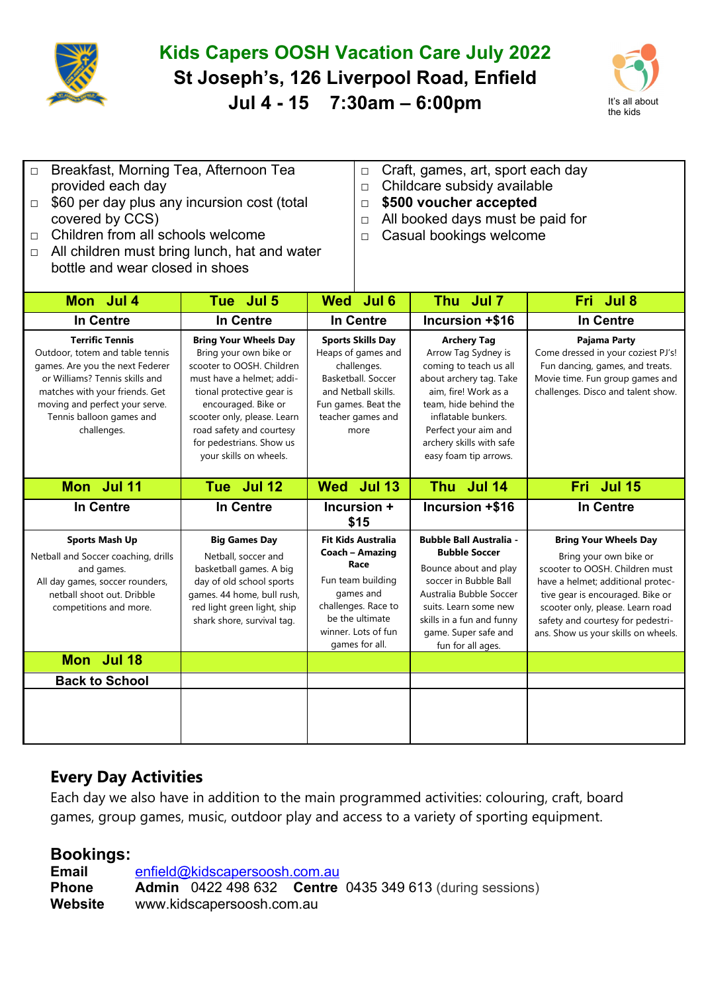

## **Kids Capers OOSH Vacation Care July 2022 St Joseph's, 126 Liverpool Road, Enfield Jul 4 - 15 7:30am – 6:00pm** It's all about



| □ Breakfast, Morning Tea, Afternoon Tea |  |
|-----------------------------------------|--|
| provided each day                       |  |

- $\Box$  \$60 per day plus any incursion cost (total covered by CCS)
- □ Children from all schools welcome
- $\Box$  All children must bring lunch, hat and water bottle and wear closed in shoes
- □ Craft, games, art, sport each day
- □ Childcare subsidy available
- □ **\$500 voucher accepted**
- □ All booked days must be paid for
- □ Casual bookings welcome

| Mon Jul 4                                                                                                                                                                                                                                     | Tue Jul 5                                                                                                                                                                                                                                                                             | <b>Wed</b><br>Jul 6                                                                                                                                                       | Thu Jul 7                                                                                                                                                                                                                                           | Fri Jul 8                                                                                                                                                                                                                                                                         |
|-----------------------------------------------------------------------------------------------------------------------------------------------------------------------------------------------------------------------------------------------|---------------------------------------------------------------------------------------------------------------------------------------------------------------------------------------------------------------------------------------------------------------------------------------|---------------------------------------------------------------------------------------------------------------------------------------------------------------------------|-----------------------------------------------------------------------------------------------------------------------------------------------------------------------------------------------------------------------------------------------------|-----------------------------------------------------------------------------------------------------------------------------------------------------------------------------------------------------------------------------------------------------------------------------------|
| <b>In Centre</b>                                                                                                                                                                                                                              | In Centre                                                                                                                                                                                                                                                                             | <b>In Centre</b>                                                                                                                                                          | Incursion +\$16                                                                                                                                                                                                                                     | <b>In Centre</b>                                                                                                                                                                                                                                                                  |
| <b>Terrific Tennis</b><br>Outdoor, totem and table tennis<br>games. Are you the next Federer<br>or Williams? Tennis skills and<br>matches with your friends. Get<br>moving and perfect your serve.<br>Tennis balloon games and<br>challenges. | <b>Bring Your Wheels Day</b><br>Bring your own bike or<br>scooter to OOSH. Children<br>must have a helmet; addi-<br>tional protective gear is<br>encouraged. Bike or<br>scooter only, please. Learn<br>road safety and courtesy<br>for pedestrians. Show us<br>your skills on wheels. | <b>Sports Skills Day</b><br>Heaps of games and<br>challenges.<br>Basketball, Soccer<br>and Netball skills.<br>Fun games. Beat the<br>teacher games and<br>more            | <b>Archery Tag</b><br>Arrow Tag Sydney is<br>coming to teach us all<br>about archery tag. Take<br>aim, fire! Work as a<br>team, hide behind the<br>inflatable bunkers.<br>Perfect your aim and<br>archery skills with safe<br>easy foam tip arrows. | Pajama Party<br>Come dressed in your coziest PJ's!<br>Fun dancing, games, and treats.<br>Movie time. Fun group games and<br>challenges. Disco and talent show.                                                                                                                    |
| Mon Jul 11                                                                                                                                                                                                                                    | Tue Jul 12                                                                                                                                                                                                                                                                            | Wed Jul 13                                                                                                                                                                | Thu Jul 14                                                                                                                                                                                                                                          | Fri Jul 15                                                                                                                                                                                                                                                                        |
| <b>In Centre</b>                                                                                                                                                                                                                              | In Centre                                                                                                                                                                                                                                                                             | Incursion +<br>\$15                                                                                                                                                       | Incursion +\$16                                                                                                                                                                                                                                     | <b>In Centre</b>                                                                                                                                                                                                                                                                  |
| <b>Sports Mash Up</b><br>Netball and Soccer coaching, drills<br>and games.<br>All day games, soccer rounders,<br>netball shoot out. Dribble<br>competitions and more.                                                                         | <b>Big Games Day</b><br>Netball, soccer and<br>basketball games. A big<br>day of old school sports<br>games. 44 home, bull rush,<br>red light green light, ship<br>shark shore, survival tag.                                                                                         | <b>Fit Kids Australia</b><br>Coach - Amazing<br>Race<br>Fun team building<br>games and<br>challenges. Race to<br>be the ultimate<br>winner. Lots of fun<br>games for all. | <b>Bubble Ball Australia -</b><br><b>Bubble Soccer</b><br>Bounce about and play<br>soccer in Bubble Ball<br>Australia Bubble Soccer<br>suits. Learn some new<br>skills in a fun and funny<br>game. Super safe and<br>fun for all ages.              | <b>Bring Your Wheels Day</b><br>Bring your own bike or<br>scooter to OOSH. Children must<br>have a helmet; additional protec-<br>tive gear is encouraged. Bike or<br>scooter only, please. Learn road<br>safety and courtesy for pedestri-<br>ans. Show us your skills on wheels. |
| Mon Jul 18                                                                                                                                                                                                                                    |                                                                                                                                                                                                                                                                                       |                                                                                                                                                                           |                                                                                                                                                                                                                                                     |                                                                                                                                                                                                                                                                                   |
| <b>Back to School</b>                                                                                                                                                                                                                         |                                                                                                                                                                                                                                                                                       |                                                                                                                                                                           |                                                                                                                                                                                                                                                     |                                                                                                                                                                                                                                                                                   |
|                                                                                                                                                                                                                                               |                                                                                                                                                                                                                                                                                       |                                                                                                                                                                           |                                                                                                                                                                                                                                                     |                                                                                                                                                                                                                                                                                   |

## **Every Day Activities**

Each day we also have in addition to the main programmed activities: colouring, craft, board games, group games, music, outdoor play and access to a variety of sporting equipment.

## **Bookings:**

**Email** enfield@kidscapersoosh.com.au **Phone Admin** 0422 498 632 **Centre** 0435 349 613 (during sessions) **Website** www.kidscapersoosh.com.au